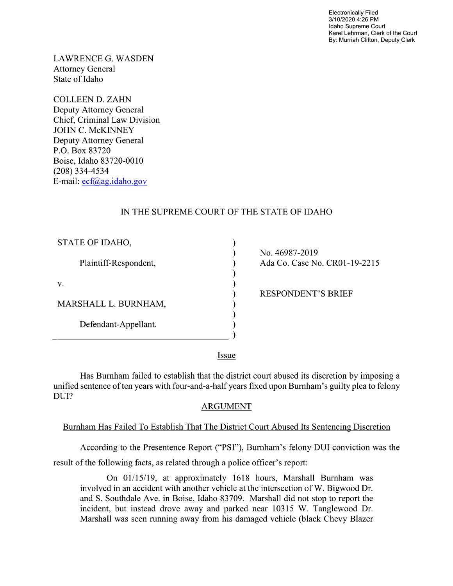Electronically Filed 3/1 0/2020 4:26 PM Idaho Supreme Court Karel Lehrman, Clerk of the Court By: Murriah Clifton, Deputy Clerk

LAWRENCE G. WASDEN Attorney General State of Idaho

COLLEEN D. ZAHN Deputy Attorney General Chief, Criminal Law Division JOHN C. McKINNEY Deputy Attorney General P.O. Box 83720 Boise, Idaho 83720-0010 (208) 334-4534 E-mail: ecf@ag.idah0.gov

# IN THE SUPREME COURT OF THE STATE OF IDAHO

 $\mathcal{E}$  $\lambda$ 

| STATE OF IDAHO,       |
|-----------------------|
| Plaintiff-Respondent, |
| v.                    |
| MARSHALL L. BURNHAM,  |
| Defendant-Appellant.  |
|                       |

N0. 46987-2019 Ada Co. Case No. CR01-19-2215

RESPONDENT'S BRIEF

Iss\_ue

Has Burnham failed to establish that the district court abused its discretion by imposing a unified sentence of ten years with four-and-a-half years fixed upon Burnham's guilty plea to felony DUI?

# ARGUMENT

# Burnham Has Failed To Establish That The District Court Abused Its Sentencing Discretion

According to the Presentence Report ("PSI"), Burnham's felony DUI conviction was the result of the following facts, as related through a police officer's report:

On 01/15/19, at approximately 1618 hours, Marshall Burnham was involved in an accident with another vehicle at the intersection of W. Bigwood Dr. and S. Southdale Ave. in Boise, Idaho 83709. Marshall did not stop to report the incident, but instead drove away and parked near 10315 W. Tanglewood Dr. Marshall was seen running away from his damaged vehicle (black Chevy Blazer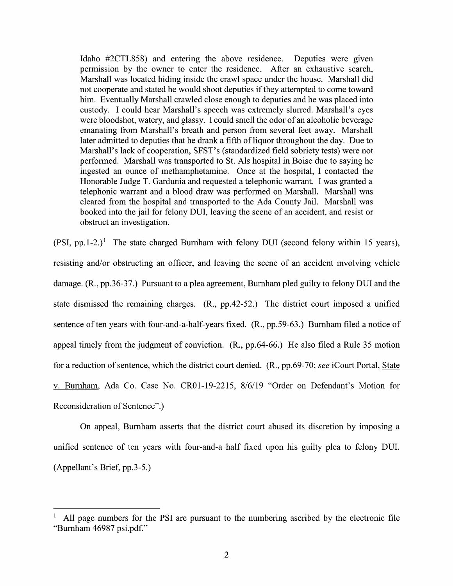Idaho #2CTL858) and entering the above residence. Deputies were given permission by the owner to enter the residence. After an exhaustive search, Marshall was located hiding inside the crawl space under the house. Marshall did not cooperate and stated he would shoot deputies if they attempted to come toward him. Eventually Marshall crawled close enough to deputies and he was placed into custody. I could hear Marshall's speech was extremely slurred. Marshall's eyes were bloodshot, watery, and glassy. I could smell the odor of an alcoholic beverage emanating from Marshall's breath and person from several feet away. Marshall later admitted to deputies that he drank a fifth of liquor throughout the day. Due to Marshall's lack of cooperation, SFST's (standardized field sobriety tests) were not performed. Marshall was transported to St. Als hospital in Boise due to saying he ingested an ounce of methamphetamine. Once at the hospital, I contacted the Honorable Judge T. Gardunia and requested a telephonic warrant. I was granted a telephonic warrant and blood draw was performed on Marshall. Marshall was cleared from the hospital and transported to the Ada County Jail. Marshall was telephonic warrant and a blood draw was performed on Marshall. Marshall was<br>cleared from the hospital and transported to the Ada County Jail. Marshall was<br>booked into the jail for felony DUI, leaving the scene of an accide obstruct an investigation.

(PSI, pp.1-2.)<sup>1</sup> The state charged Burnham with felony DUI (second felony within 15 years), resisting and/or obstructing an officer, and leaving the scene 0f an accident involving vehicle damage. (R., pp.36-37.) Pursuant to a plea agreement, Burnham pled guilty to felony DUI and the state dismissed the remaining charges.  $(R., pp.42-52.)$  The district court imposed a unified sentence of ten years with four-and-a-half-years fixed. (R., pp.59-63.) Burnham filed a notice of appeal timely from the judgment of conviction.  $(R., pp.64-66.)$  He also filed a Rule 35 motion for a reduction of sentence, which the district court denied. (R., pp.69-70; see iCourt Portal, State V. Burnham, Ada Co. Case N0. CR01-19-2215, 8/6/19 "Order 0n Defendant's Motion for Reconsideration 0f Sentence".)

On appeal, Burnham asserts that the district court abused its discretion by imposing unified sentence of ten years with four-and-a half fixed upon his guilty plea to felony DUI. (Appellant's Brief, pp.3-5.)

A11 page numbers for the PSI are pursuant to the numbering ascribed by the electronic file "Burnham 46987 psi.pdf."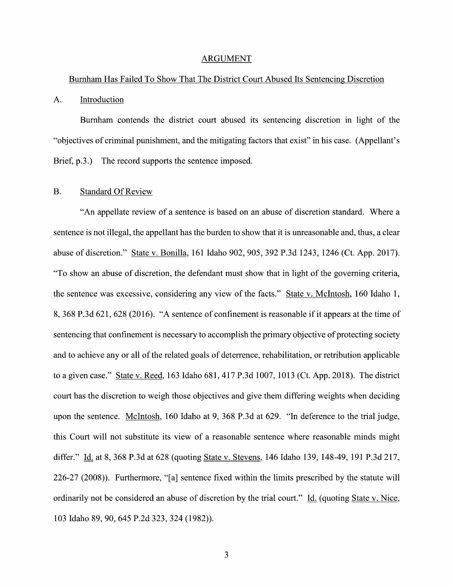#### ARGUMENT

#### Burnham Has Failed T0 Show That The District Court Abused Its Sentencing Discretion

#### A. Introduction

Burnham contends the district court abused its sentencing discretion in light of the "objectives of criminal punishment, and the mitigating factors that exist" in his case. (Appellant's Brief, p.3.) The record supports the sentence imposed.

### B. Standard Of Review

"An appellate review of a sentence is based on an abuse of discretion standard. Where a sentence is not illegal, the appellant has the burden to show that it is unreasonable and, thus, a clear abuse of discretion." State v. Bonilla, 161 Idaho 902, 905, 392 P.3d 1243, 1246 (Ct. App. 2017). "T0 show an abuse of discretion, the defendant must show that in light of the governing criteria, the sentence was excessive, considering any View of the facts." State V. McIntosh, 160 Idaho 1, 8, <sup>368</sup> P.3d 621, <sup>628</sup> (2016). "A sentence 0f confinement is reasonable if it appears at the time of sentencing that confinement is necessary to accomplish the primary objective of protecting society and to achieve any or all of the related goals of deterrence, rehabilitation, or retribution applicable to a given case." State v. Reed, 163 Idaho 681, 417 P.3d 1007, 1013 (Ct. App. 2018). The district court has the discretion to weigh those objectives and give them differing weights when deciding upon the sentence. McIntosh, 160 Idaho at 9, 368 P.3d at 629. "In deference t0 the trial judge, this Court will not substitute its view of a reasonable sentence where reasonable minds might differ." Id. at 8, 368 P.3d at 628 (quoting State v. Stevens, 146 Idaho 139, 148-49, 191 P.3d 217, 226-27 (2008)). Furthermore, "[a] sentence fixed Within the limits prescribed by the statute Will ordinarily not be considered an abuse of discretion by the trial court." Id. (quoting State v. Nice, 103 Idaho 89, 90, 645 P.2d 323, 324 (1982)).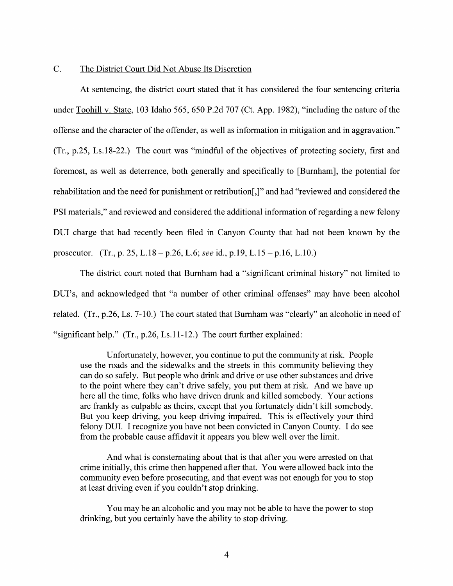### C. The District Court Did Not Abuse Its Discretion

At sentencing, the district court stated that it has considered the four sentencing criteria under Toohill v. State, 103 Idaho 565, 650 P.2d 707 (Ct. App. 1982), "including the nature of the offense and the character 0f the offender, as well as information in mitigation and in aggravation."  $(Tr, p.25, Ls.18-22.)$  The court was "mindful of the objectives of protecting society, first and foremost, as well as deterrence, both generally and specifically to [Burnham], the potential for rehabilitation and the need for punishment or retribution[,]" and had "reviewed and considered the PSI materials," and reviewed and considered the additional information of regarding a new felony DUI charge that had recently been filed in Canyon County that had not been known by the prosecutor. (Tr., p. 25, L.18 – p.26, L.6; see id., p.19, L.15 – p.16, L.10.)

The district court noted that Burnham had a "significant criminal history" not limited to DUI's, and acknowledged that "a number of other criminal offenses" may have been alcohol related. (Tr., p.26, Ls. 7-10.) The court stated that Burnham was "clearly" an alcoholic in need of "significant help." (Tr., p.26, Ls.11-12.) The court further explained:

Unfortunately, however, you continue to put the community at risk. People use the roads and the sidewalks and the streets in this community believing they can d0 so safely. But people Who drink and drive or use other substances and drive to the point where they can't drive safely, you put them at risk. And we have up here all the time, folks who have driven drunk and killed somebody. Your actions are frankly as culpable as theirs, except that you fortunately didn't kill somebody. But you keep driving, you keep driving impaired. This is effectively your third felony DUI. I recognize you have not been convicted in Canyon County. I do see from the probable cause affidavit it appears you blew well over the limit.

And what is consternating about that is that after you were arrested on that crime initially, this crime then happened after that. You were allowed back into the community even before prosecuting, and that event was not enough for you to stop at least driving even if you couldn't stop drinking.

You may be an alcoholic and you may not be able to have the power to stop drinking, but you certainly have the ability to stop driving.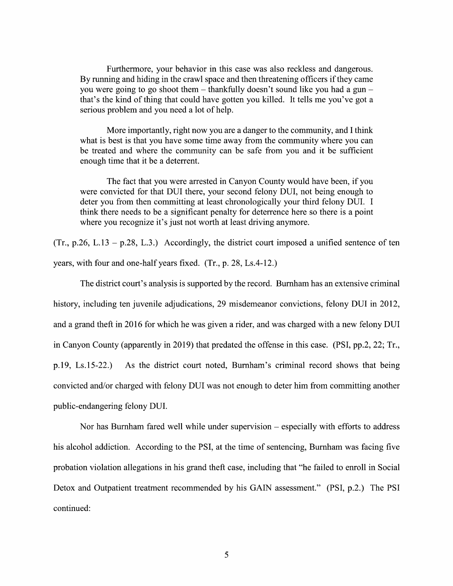Furthermore, your behavior in this case was also reckless and dangerous. By running and hiding in the crawl space and then threatening officers if they came you were going to go shoot them  $-$  thankfully doesn't sound like you had a gun  $$ that's the kind of thing that could have gotten you killed. It tells me you've got serious problem and you need a lot of help.

More importantly, right now you are a danger to the community, and I think what is best is that you have some time away from the community where you can be treated and where the community can be safe from you and it be sufficient enough time that it be a deterrent.

The fact that you were arrested in Canyon County would have been, if you were convicted for that DUI there, your second felony DUI, not being enough to deter you from then committing at least chronologically your third felony DUI. I think there needs to be a significant penalty for deterrence here so there is a point where you recognize it's just not worth at least driving anymore.

 $(Tr, p.26, L.13 - p.28, L.3.)$  Accordingly, the district court imposed a unified sentence of ten years, with four and one-half years fixed. (Tr., p. 28, Ls.4-12.)

The district court's analysis is supported by the record. Burnham has an extensive criminal history, including ten juvenile adjudications, 29 misdemeanor convictions, felony DUI in 2012, and a grand theft in 2016 for which he was given a rider, and was charged with a new felony DUI in Canyon County (apparently in 2019) that predated the offense in this case. (PSI, pp.2, 22; Tr., p.19, Ls.15-22.) As the district court noted, Burnham's criminal record shows that being convicted and/or charged with felony DUI was not enough to deter him from committing another public-endangering felony DUI.

Nor has Burnham fared well while under supervision  $-$  especially with efforts to address his alcohol addiction. According to the PSI, at the time of sentencing, Burnham was facing five probation violation allegations in his grand theft case, including that "he failed to enroll in Social Detox and Outpatient treatment recommended by his GAIN assessment." (PSI, p.2.) The PSI continued: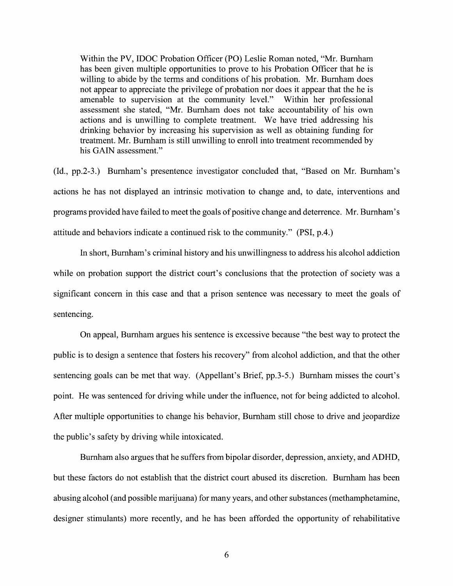Within the PV, IDOC Probation Officer (PO) Leslie Roman noted, "Mr. Burnham has been given multiple opportunities to prove to his Probation Officer that he is willing to abide by the terms and conditions of his probation. Mr. Burnham does not appear to appreciate the privilege 0f probation nor does it appear that the he is amenable to supervision at the community level." Within her professional assessment she stated, "Mr. Burnham does not take accountability of his own actions and is unwilling to complete treatment. We have tried addressing his drinking behavior by increasing his supervision as well as obtaining funding for treatment. Mr. Burnham is still unwilling to enroll into treatment recommended by his GAIN assessment."

(1d,, pp.2-3.) Burnham's presentence investigator concluded that, "Based on Mr. Burnham's actions he has not displayed an intrinsic motivation to change and, to date, interventions and programs provided have failed to meet the goals of positive change and deterrence. Mr. Burnham's attitude and behaviors indicate a continued risk to the community." (PSI, p.4.)

In short, Burnham's criminal history and his unwillingness to address his alcohol addiction while on probation support the district court's conclusions that the protection of society was a significant concern in this case and that a prison sentence was necessary to meet the goals of sentencing.

On appeal, Burnham argues his sentence is excessive because "the best way to protect the public is to design a sentence that fosters his recovery" from alcohol addiction, and that the other sentencing goals can be met that way. (Appellant's Brief, pp.3-5.) Burnham misses the court's point. He was sentenced for driving while under the influence, not for being addicted to alcohol. After multiple opportunities to change his behavior, Burnham still chose to drive and jeopardize the public's safety by driving while intoxicated.

Burnham also argues that he suffers from bipolar disorder, depression, anxiety, and ADHD, but these factors do not establish that the district court abused its discretion. Burnham has been abusing alcohol (and possible marijuana) for many years, and other substances (methamphetamine, designer stimulants) more recently, and he has been afforded the opportunity of rehabilitative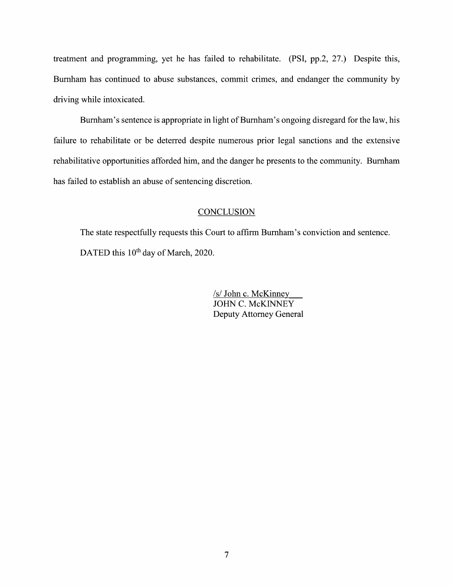treatment and programming, yet he has failed to rehabilitate. (PSI, pp.2, 27.) Despite this, Burnham has continued to abuse substances, commit crimes, and endanger the community by driving While intoxicated.

Burnham's sentence is appropriate in light 0f Burnham's ongoing disregard for the law, his failure to rehabilitate or be deterred despite numerous prior legal sanctions and the extensive rehabilitative opportunities afforded him, and the danger he presents to the community. Burnham has failed to establish an abuse of sentencing discretion.

### **CONCLUSION**

The state respectfully requests this Court to affirm Burnham's conviction and sentence. DATED this 10<sup>th</sup> day of March, 2020.

> /s/ John c.McKinney JOHN C. McKINNEY Deputy Attorney General